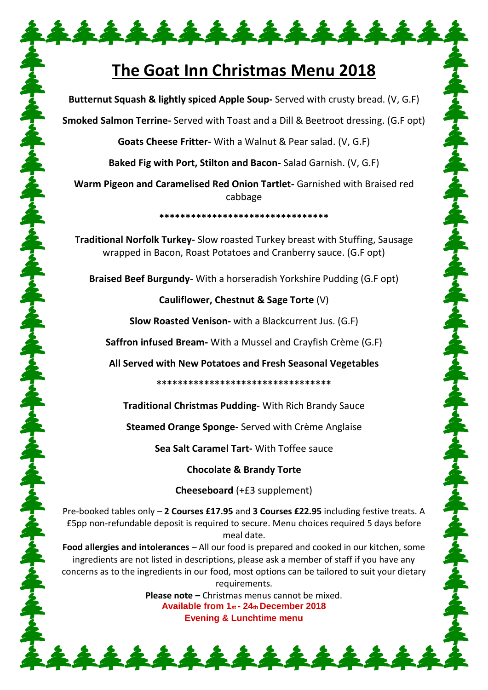# **The Goat Inn Christmas Menu 2018**

\*\*\*\*\*\*\*\*\*\*\*\*\*\*\*

**Butternut Squash & lightly spiced Apple Soup-** Served with crusty bread. (V, G.F)

**Smoked Salmon Terrine-** Served with Toast and a Dill & Beetroot dressing. (G.F opt)

**Goats Cheese Fritter-** With a Walnut & Pear salad. (V, G.F)

**Baked Fig with Port, Stilton and Bacon-** Salad Garnish. (V, G.F)

**Warm Pigeon and Caramelised Red Onion Tartlet-** Garnished with Braised red cabbage

**\*\*\*\*\*\*\*\*\*\*\*\*\*\*\*\*\*\*\*\*\*\*\*\*\*\*\*\*\*\*\*\***

**Traditional Norfolk Turkey-** Slow roasted Turkey breast with Stuffing, Sausage wrapped in Bacon, Roast Potatoes and Cranberry sauce. (G.F opt)

**Braised Beef Burgundy-** With a horseradish Yorkshire Pudding (G.F opt)

らんずらんずらんずらんずらんずらんずらんずらんずらんずらんぞうんぷすらんぷす

ふんてんぶん ふくぶんこう

## **Cauliflower, Chestnut & Sage Torte** (V)

**Slow Roasted Venison-** with a Blackcurrent Jus. (G.F)

**Saffron infused Bream-** With a Mussel and Crayfish Crème (G.F)

ろんすうのですらんですらんですらんですらんでうのですらんですらんですらんですらんですらんですらんですらんですらんです。

**All Served with New Potatoes and Fresh Seasonal Vegetables** 

#### **\*\*\*\*\*\*\*\*\*\*\*\*\*\*\*\*\*\*\*\*\*\*\*\*\*\*\*\*\*\*\*\*\***

**Traditional Christmas Pudding-** With Rich Brandy Sauce

**Steamed Orange Sponge-** Served with Crème Anglaise

**Sea Salt Caramel Tart-** With Toffee sauce

**Chocolate & Brandy Torte**

**Cheeseboard** (+£3 supplement)

Pre-booked tables only – **2 Courses £17.95** and **3 Courses £22.95** including festive treats. A £5pp non-refundable deposit is required to secure. Menu choices required 5 days before meal date.

**Food allergies and intolerances** – All our food is prepared and cooked in our kitchen, some ingredients are not listed in descriptions, please ask a member of staff if you have any concerns as to the ingredients in our food, most options can be tailored to suit your dietary requirements.

> **Please note –** Christmas menus cannot be mixed. **Available from 1st - 24th December 2018 Evening & Lunchtime menu**

\*\*\*\*\*\*\*\*\*\*\*